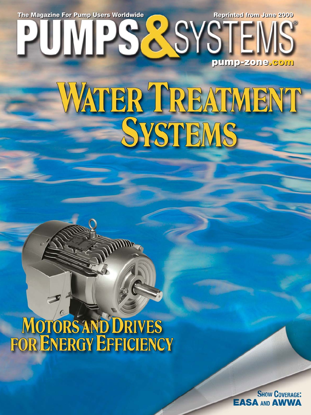## WATER TREATMENT SYSTEMS

# MOTORS AND DRIVES<br>FOR ENERGY EFFICIENCY

**SHOW COVERAGE: EASA AND AWWA** 

The Magazine For Pump Users Worldwide **Reprinted from June 2009** 

**pump-zone pump-zone.com**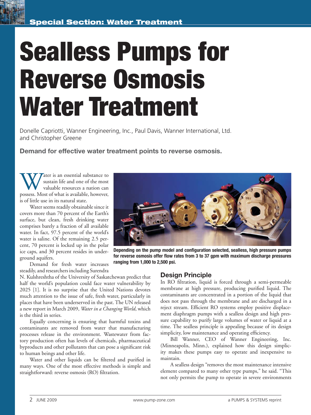### **Sealless Pumps for Reverse Osmosis Water Treatment**

Donelle Capriotti, Wanner Engineering, Inc., Paul Davis, Wanner International, Ltd. and Christopher Greene

**Demand for effective water treatment points to reverse osmosis.**

Water is an essential substance to sustain life and one of the most valuable resources a nation can possess. Most of what is available, however, sustain life and one of the most valuable resources a nation can is of little use in its natural state.

Water seems readily obtainable since it covers more than 70 percent of the Earth's surface, but clean, fresh drinking water comprises barely a fraction of all available water. In fact, 97.5 percent of the world's water is saline. Of the remaining 2.5 percent, 70 percent is locked up in the polar ice caps, and 30 percent resides in underground aquifers.

Demand for fresh water increases steadily, and researchers including Surendra

N. Kulshreshtha of the University of Saskatchewan predict that half the world's population could face water vulnerability by 2025 [1]. It is no surprise that the United Nations devotes much attention to the issue of safe, fresh water, particularly in places that have been underserved in the past. The UN released a new report in March 2009, *Water in a Changing World*, which is the third in series.

Equally concerning is ensuring that harmful toxins and contaminants are removed from water that manufacturing processes release in the environment. Wastewater from factory production often has levels of chemicals, pharmaceutical byproducts and other pollutants that can pose a significant risk to human beings and other life.

Water and other liquids can be filtered and purified in many ways. One of the most effective methods is simple and straightforward: reverse osmosis (RO) filtration.



**Depending on the pump model and configuration selected, sealless, high pressure pumps** for reverse osmosis offer flow rates from 3 to 37 gpm with maximum discharge pressures **ranging from 1,000 to 2,500 psi.**

#### **Design Principle**

In RO filtration, liquid is forced through a semi-permeable membrane at high pressure, producing purified liquid. The contaminants are concentrated in a portion of the liquid that does not pass through the membrane and are discharged in a reject stream. Efficient RO systems employ positive displacement diaphragm pumps with a sealless design and high pressure capability to purify large volumes of water or liquid at a time. The sealless principle is appealing because of its design simplicity, low maintenance and operating efficiency.

Bill Wanner, CEO of Wanner Engineering, Inc. (Minneapolis, Minn.), explained how this design simplicity makes these pumps easy to operate and inexpensive to maintain.

A sealless design "removes the most maintenance intensive element compared to many other type pumps," he said. "This not only permits the pump to operate in severe environments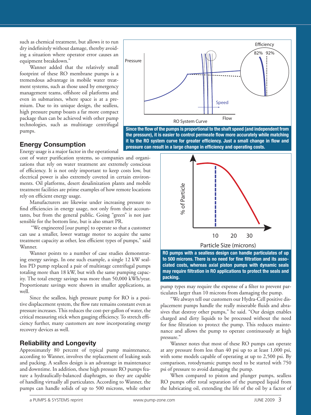such as chemical treatment, but allows it to run dry indefinitely without damage, thereby avoiding a situation where operator error causes an equipment breakdown."

Wanner added that the relatively small footprint of these RO membrane pumps is a tremendous advantage in mobile water treatment systems, such as those used by emergency management teams, offshore oil platforms and even in submarines, where space is at a premium. Due to its unique design, the sealless, high pressure pump boasts a far more compact package than can be achieved with other pump technologies, such as multistage centrifugal pumps.



Since the flow of the pumps is proportional to the shaft speed (and independent from the pressure), it is easier to control permeate flow more accurately while matching it to the RO system curve for greater efficiency. Just a small change in flow and pressure can result in a large change in efficiency and operating costs.

#### **Energy Consumption**

Energy usage is a major factor in the operational

cost of water purification systems, so companies and organizations that rely on water treatment are extremely conscious of efficiency. It is not only important to keep costs low, but electrical power is also extremely coveted in certain environments. Oil platforms, desert desalinization plants and mobile treatment facilities are prime examples of how remote locations rely on efficient energy usage.

Manufacturers are likewise under increasing pressure to find efficiencies in energy usage, not only from their accountants, but from the general public. Going "green" is not just sensible for the bottom line, but is also smart PR.

 "We engineered [our pump] to operate so that a customer can use a smaller, lower wattage motor to acquire the same treatment capacity as other, less efficient types of pumps," said Wanner.

Wanner points to a number of case studies demonstrating energy savings. In one such example, a single 12 kW sealless PD pump replaced a pair of multistage centrifugal pumps totaling more than 18 kW, but with the same pumping capacity. The total energy savings was more than 50,000 kWh/year. Proportionate savings were shown in smaller applications, as well.

Since the sealless, high pressure pump for RO is a positive displacement system, the flow rate remains constant even as pressure increases. This reduces the cost-per-gallon of water, the critical measuring stick when gauging efficiency. To stretch efficiency further, many customers are now incorporating energy recovery devices as well.

#### **Reliability and Longevity**

Approximately 80 percent of typical pump maintenance, according to Wanner, involves the replacement of leaking seals and packing. A sealless design is an advantage in maintenance and downtime. In addition, these high pressure RO pumps feature a hydraulically-balanced diaphragm, so they are capable of handling virtually all particulates. According to Wanner, the pumps can handle solids of up to 500 microns, while other



**RO pumps with a sealless design can handle particulates of up**  to 500 microns. There is no need for fine filtration and its asso**ciated costs, whereas axial piston pumps with dynamic seals may require filtration in RO applications to protect the seals and packing.**

pump types may require the expense of a filter to prevent particulates larger than 10 microns from damaging the pump.

"We always tell our customers our Hydra-Cell positive displacement pumps handle the really miserable fluids and abrasives that destroy other pumps," he said. "Our design enables charged and dirty liquids to be processed without the need for fine filtration to protect the pump. This reduces maintenance and allows the pump to operate continuously at high pressure."

Wanner notes that most of these RO pumps can operate at any pressure from less than 40 psi up to at least 1,000 psi, with some models capable of operating at up to 2,500 psi. By comparison, rotodynamic pumps need to be started with 750 psi of pressure to avoid damaging the pump.

When compared to piston and plunger pumps, sealless RO pumps offer total separation of the pumped liquid from the lubricating oil, extending the life of the oil by a factor of